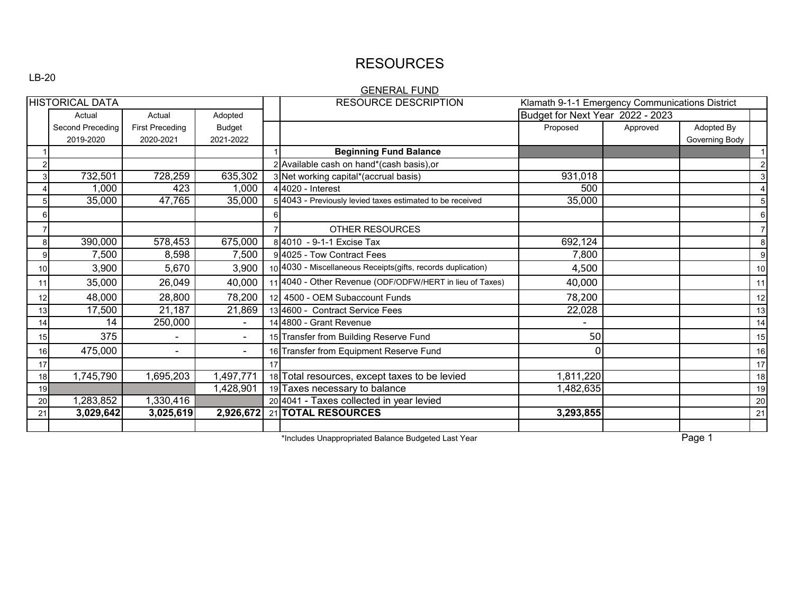## RESOURCES

### LB-20

### GENERAL FUND

| <b>HISTORICAL DATA</b> |                             |                        | <b>RESOURCE DESCRIPTION</b><br>Klamath 9-1-1 Emergency Communications District |  |                                                              |                                  |          |                |                 |
|------------------------|-----------------------------|------------------------|--------------------------------------------------------------------------------|--|--------------------------------------------------------------|----------------------------------|----------|----------------|-----------------|
|                        | Actual<br>Adopted<br>Actual |                        |                                                                                |  |                                                              | Budget for Next Year 2022 - 2023 |          |                |                 |
|                        | Second Preceding            | <b>First Preceding</b> | Budget                                                                         |  |                                                              | Proposed                         | Approved | Adopted By     |                 |
|                        | 2019-2020                   | 2020-2021              | 2021-2022                                                                      |  |                                                              |                                  |          | Governing Body |                 |
|                        |                             |                        |                                                                                |  | <b>Beginning Fund Balance</b>                                |                                  |          |                | 1               |
|                        |                             |                        |                                                                                |  | 2 Available cash on hand*(cash basis), or                    |                                  |          |                | $\overline{2}$  |
|                        | 732,501                     | 728,259                | 635,302                                                                        |  | 3 Net working capital*(accrual basis)                        | 931,018                          |          |                | $\mathbf{3}$    |
|                        | 1,000                       | 423                    | 1,000                                                                          |  | $4 4020 -$ Interest                                          | 500                              |          |                | $\overline{4}$  |
| 5                      | 35,000                      | 47,765                 | 35,000                                                                         |  | 5 4043 - Previously levied taxes estimated to be received    | 35,000                           |          |                | 5 <sub>l</sub>  |
| 6                      |                             |                        |                                                                                |  |                                                              |                                  |          |                | 6               |
|                        |                             |                        |                                                                                |  | <b>OTHER RESOURCES</b>                                       |                                  |          |                | $\overline{7}$  |
| 8                      | 390,000                     | 578,453                | 675,000                                                                        |  | 8 4010 - 9-1-1 Excise Tax                                    | 692,124                          |          |                | 8               |
| 9                      | 7,500                       | 8,598                  | 7,500                                                                          |  | 94025 - Tow Contract Fees                                    | 7,800                            |          |                | 9               |
| 10                     | 3,900                       | 5,670                  | 3,900                                                                          |  | 10 4030 - Miscellaneous Receipts(gifts, records duplication) | 4,500                            |          |                | 10 <sup>1</sup> |
| 11                     | 35,000                      | 26,049                 | 40,000                                                                         |  | 11 4040 - Other Revenue (ODF/ODFW/HERT in lieu of Taxes)     | 40,000                           |          |                | 11              |
| 12                     | 48,000                      | 28,800                 | 78,200                                                                         |  | 12 4500 - OEM Subaccount Funds                               | 78,200                           |          |                | 12              |
| 13                     | 17,500                      | 21,187                 | 21,869                                                                         |  | 13 4600 - Contract Service Fees                              | 22,028                           |          |                | 13              |
| 14                     | 14                          | 250,000                | $\blacksquare$                                                                 |  | 14 4800 - Grant Revenue                                      |                                  |          |                | 14              |
| 15                     | 375                         |                        | $\blacksquare$                                                                 |  | 15 Transfer from Building Reserve Fund                       | 50                               |          |                | 15              |
| 16                     | 475,000                     |                        | $\blacksquare$                                                                 |  | 16 Transfer from Equipment Reserve Fund                      |                                  |          |                | 16              |
| 17                     |                             |                        |                                                                                |  |                                                              |                                  |          |                | 17              |
| 18                     | 1,745,790                   | ,695,203               | 1,497,771                                                                      |  | 18 Total resources, except taxes to be levied                | ,811,220                         |          |                | 18              |
| 19                     |                             |                        | 1,428,901                                                                      |  | 19 Taxes necessary to balance                                | 1,482,635                        |          |                | 19              |
| 20                     | 1,283,852                   | ,330,416               |                                                                                |  | 20 4041 - Taxes collected in year levied                     |                                  |          |                | 20              |
| 21                     | 3,029,642                   | 3,025,619              | 2,926,672                                                                      |  | 21 TOTAL RESOURCES                                           | 3,293,855                        |          |                | 21              |
|                        |                             |                        |                                                                                |  |                                                              |                                  |          |                |                 |

\*Includes Unappropriated Balance Budgeted Last Year Page 1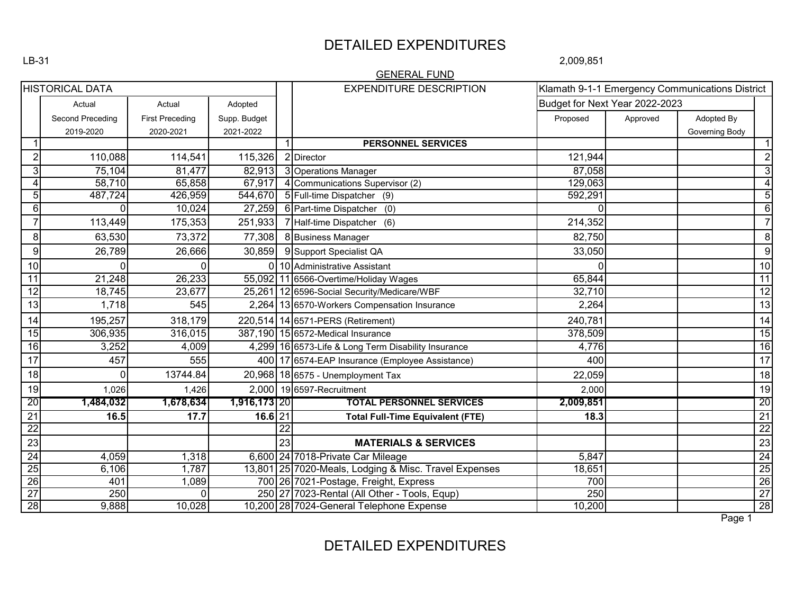## DETAILED EXPENDITURES

2,009,851

|                         |                         |                        |              |                 | <b>GENERAL FUND</b>                                   |                                |          |                                                 |                                                 |
|-------------------------|-------------------------|------------------------|--------------|-----------------|-------------------------------------------------------|--------------------------------|----------|-------------------------------------------------|-------------------------------------------------|
| <b>HISTORICAL DATA</b>  |                         |                        |              |                 | <b>EXPENDITURE DESCRIPTION</b>                        |                                |          | Klamath 9-1-1 Emergency Communications District |                                                 |
|                         | Actual                  | Actual                 | Adopted      |                 |                                                       | Budget for Next Year 2022-2023 |          |                                                 |                                                 |
|                         | <b>Second Preceding</b> | <b>First Preceding</b> | Supp. Budget |                 |                                                       | Proposed                       | Approved | Adopted By                                      |                                                 |
|                         | 2019-2020               | 2020-2021              | 2021-2022    |                 |                                                       |                                |          | Governing Body                                  |                                                 |
| 1                       |                         |                        |              | $\overline{1}$  | <b>PERSONNEL SERVICES</b>                             |                                |          |                                                 | $\mathbf 1$                                     |
| $\overline{c}$          | 110,088                 | 114,541                | 115,326      |                 | 2 Director                                            | 121,944                        |          |                                                 | $\overline{2}$                                  |
| $\mathbf{3}$            | 75,104                  | 81,477                 |              |                 | 82,913 3 Operations Manager                           | 87,058                         |          |                                                 | $\overline{3}$                                  |
| $\overline{\mathbf{4}}$ | 58,710                  | 65,858                 | 67,917       |                 | 4 Communications Supervisor (2)                       | 129,063                        |          |                                                 | $\overline{4}$                                  |
| $\overline{5}$          | 487,724                 | 426,959                |              |                 | 544,670 5 Full-time Dispatcher (9)                    | 592,291                        |          |                                                 | $\overline{5}$                                  |
| 6                       | $\Omega$                | 10,024                 | 27,259       |                 | 6 Part-time Dispatcher (0)                            | 0                              |          |                                                 | $\overline{6}$                                  |
| $\overline{7}$          | 113,449                 | 175,353                | 251,933      |                 | 7 Half-time Dispatcher (6)                            | 214,352                        |          |                                                 | $\overline{7}$                                  |
| $\bf 8$                 | 63,530                  | 73,372                 | 77,308       |                 | 8 Business Manager                                    | 82,750                         |          |                                                 | 8                                               |
| 9                       | 26,789                  | 26,666                 | 30,859       |                 | 9 Support Specialist QA                               | 33,050                         |          |                                                 | $\overline{9}$                                  |
| 10                      | $\Omega$                | $\overline{0}$         |              |                 | 0 10 Administrative Assistant                         | $\Omega$                       |          |                                                 | 10                                              |
| $\overline{11}$         | 21,248                  | 26,233                 |              |                 | 55,092 11 6566-Overtime/Holiday Wages                 | 65,844                         |          |                                                 | 11                                              |
| 12                      | 18,745                  | 23,677                 |              |                 | 25,261 12 6596-Social Security/Medicare/WBF           | 32,710                         |          |                                                 | 12                                              |
| 13                      | 1,718                   | 545                    |              |                 | 2,264 13 6570-Workers Compensation Insurance          | 2,264                          |          |                                                 | 13                                              |
| 14                      | 195,257                 | 318,179                |              |                 | 220,514 14 6571-PERS (Retirement)                     | 240,781                        |          |                                                 | 14                                              |
| $\overline{15}$         | 306,935                 | 316,015                |              |                 | 387,190 15 6572-Medical Insurance                     | 378,509                        |          |                                                 | 15                                              |
| 16                      | 3,252                   | 4,009                  |              |                 | 4,299 16 6573-Life & Long Term Disability Insurance   | 4,776                          |          |                                                 | 16                                              |
| 17                      | 457                     | 555                    |              |                 | 400 17 6574-EAP Insurance (Employee Assistance)       | 400                            |          |                                                 | $\overline{17}$                                 |
| 18                      | $\Omega$                | 13744.84               |              |                 | 20,968 18 6575 - Unemployment Tax                     | 22,059                         |          |                                                 | 18                                              |
| 19                      | 1,026                   | 1,426                  |              |                 | 2,000 19 6597-Recruitment                             | 2,000                          |          |                                                 | 19                                              |
| 20                      | 1,484,032               | 1,678,634              | 1,916,173 20 |                 | <b>TOTAL PERSONNEL SERVICES</b>                       | 2,009,851                      |          |                                                 | 20                                              |
| $\overline{21}$         | 16.5                    | 17.7                   | $16.6$   21  |                 | <b>Total Full-Time Equivalent (FTE)</b>               | 18.3                           |          |                                                 | $\frac{21}{22}$                                 |
| $\overline{22}$         |                         |                        |              | $\overline{22}$ |                                                       |                                |          |                                                 |                                                 |
| 23                      |                         |                        |              | 23              | <b>MATERIALS &amp; SERVICES</b>                       |                                |          |                                                 | 23                                              |
| 24                      | 4,059                   | 1,318                  |              |                 | 6,600 24 7018-Private Car Mileage                     | 5,847                          |          |                                                 |                                                 |
| 25                      | 6,106                   | 1,787                  |              |                 | 13,801 25 7020-Meals, Lodging & Misc. Travel Expenses | 18,651                         |          |                                                 |                                                 |
| 26                      | 401                     | 1,089                  |              |                 | 700 26 7021-Postage, Freight, Express                 | 700                            |          |                                                 |                                                 |
| $\overline{27}$         | 250                     | 0                      |              |                 | 250 27 7023-Rental (All Other - Tools, Equp)          | 250                            |          |                                                 | $\frac{24}{25}$ $\frac{26}{27}$ $\frac{27}{28}$ |
| 28                      | 9,888                   | 10,028                 |              |                 | 10,200 28 7024-General Telephone Expense              | 10,200                         |          |                                                 |                                                 |
|                         |                         |                        |              |                 |                                                       |                                |          | Page 1                                          |                                                 |

DETAILED EXPENDITURES

LB-31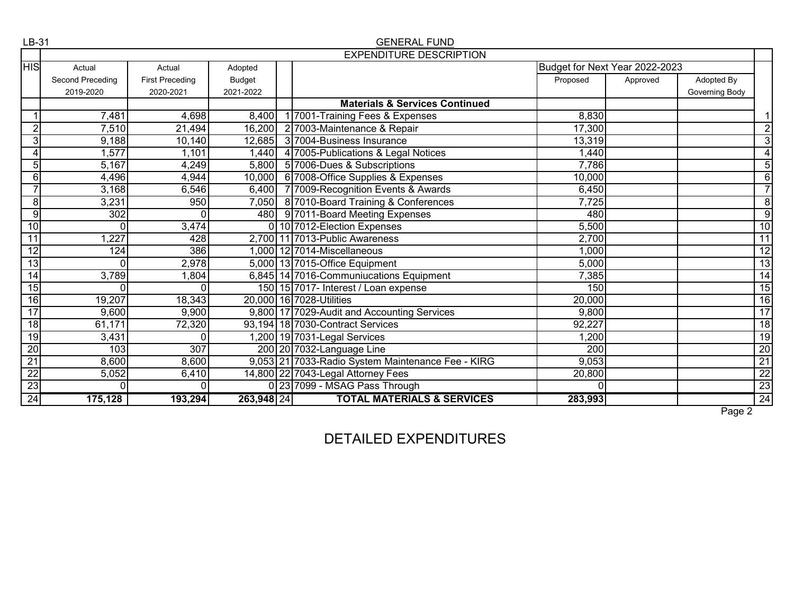| LB-31           |                  |                        |               | <b>GENERAL FUND</b>                               |                                |          |                |                 |
|-----------------|------------------|------------------------|---------------|---------------------------------------------------|--------------------------------|----------|----------------|-----------------|
|                 |                  |                        |               | <b>EXPENDITURE DESCRIPTION</b>                    |                                |          |                |                 |
| <b>HIS</b>      | Actual           | Actual                 | Adopted       |                                                   | Budget for Next Year 2022-2023 |          |                |                 |
|                 | Second Preceding | <b>First Preceding</b> | <b>Budget</b> |                                                   | Proposed                       | Approved | Adopted By     |                 |
|                 | 2019-2020        | 2020-2021              | 2021-2022     |                                                   |                                |          | Governing Body |                 |
|                 |                  |                        |               | <b>Materials &amp; Services Continued</b>         |                                |          |                |                 |
|                 | 7,481            | 4,698                  | 8,400         | 1 7001-Training Fees & Expenses                   | 8,830                          |          |                |                 |
| $\overline{2}$  | 7,510            | 21,494                 | 16,200        | 2 7003-Maintenance & Repair                       | 17,300                         |          |                | $\overline{2}$  |
| 3               | 9,188            | 10,140                 | 12,685        | 3 7004-Business Insurance                         | 13,319                         |          |                | $\overline{3}$  |
| 4               | 1,577            | 1,101                  | 1,440         | 4 7005-Publications & Legal Notices               | 1,440                          |          |                | 4               |
| $\overline{5}$  | 5,167            | 4,249                  | 5,800         | 5 7006-Dues & Subscriptions                       | 7,786                          |          |                | $\overline{5}$  |
| 6               | 4,496            | 4,944                  | 10,000        | 6 7008-Office Supplies & Expenses                 | 10,000                         |          |                | 6               |
|                 | 3,168            | 6,546                  | 6,400         | 7 7009-Recognition Events & Awards                | 6,450                          |          |                | $\overline{7}$  |
| 8               | 3,231            | 950                    | 7,050         | 8 7010-Board Training & Conferences               | 7,725                          |          |                | $\bf 8$         |
| $\overline{9}$  | 302              | 0                      | 480           | 9 7011-Board Meeting Expenses                     | 480                            |          |                | $\overline{9}$  |
| $\overline{10}$ | $\Omega$         | 3,474                  |               | 0 10 7012-Election Expenses                       | 5,500                          |          |                | 10              |
| 11              | 1,227            | 428                    |               | 2,700 11 7013-Public Awareness                    | 2,700                          |          |                | $\overline{11}$ |
| 12              | 124              | 386                    |               | 1,000 12 7014-Miscellaneous                       | 1,000                          |          |                | $\overline{12}$ |
| 13              | O                | 2,978                  |               | 5,000 13 7015-Office Equipment                    | 5,000                          |          |                | 13              |
| $\overline{14}$ | 3,789            | 1,804                  |               | 6,845 14 7016-Communiucations Equipment           | 7,385                          |          |                | 14              |
| 15              |                  | 0                      |               | 150 15 7017- Interest / Loan expense              | 150                            |          |                | $\overline{15}$ |
| 16              | 19,207           | 18,343                 |               | 20,000 16 7028-Utilities                          | 20,000                         |          |                | 16              |
| 17              | 9,600            | 9,900                  |               | 9,800 17 7029-Audit and Accounting Services       | 9,800                          |          |                | 17              |
| 18              | 61,171           | 72,320                 |               | 93,194 18 7030-Contract Services                  | 92,227                         |          |                | 18              |
| 19              | 3,431            | $\Omega$               |               | 1,200 19 7031-Legal Services                      | 1,200                          |          |                | 19              |
| 20              | 103              | 307                    |               | 200 20 7032-Language Line                         | 200                            |          |                | 20              |
| $\overline{21}$ | 8,600            | 8,600                  |               | 9,053 21 7033-Radio System Maintenance Fee - KIRG | 9,053                          |          |                | $\overline{21}$ |
| $\overline{22}$ | 5,052            | 6,410                  |               | 14,800 22 7043-Legal Attorney Fees                | 20,800                         |          |                | $\frac{22}{23}$ |
| $\overline{23}$ | $\Omega$         | 0                      |               | 0 23 7099 - MSAG Pass Through                     | 0                              |          |                |                 |
| 24              | 175,128          | 193,294                | 263,948 24    | <b>TOTAL MATERIALS &amp; SERVICES</b>             | 283,993                        |          |                | $\overline{24}$ |
|                 |                  |                        |               |                                                   |                                |          | Page 2         |                 |

DETAILED EXPENDITURES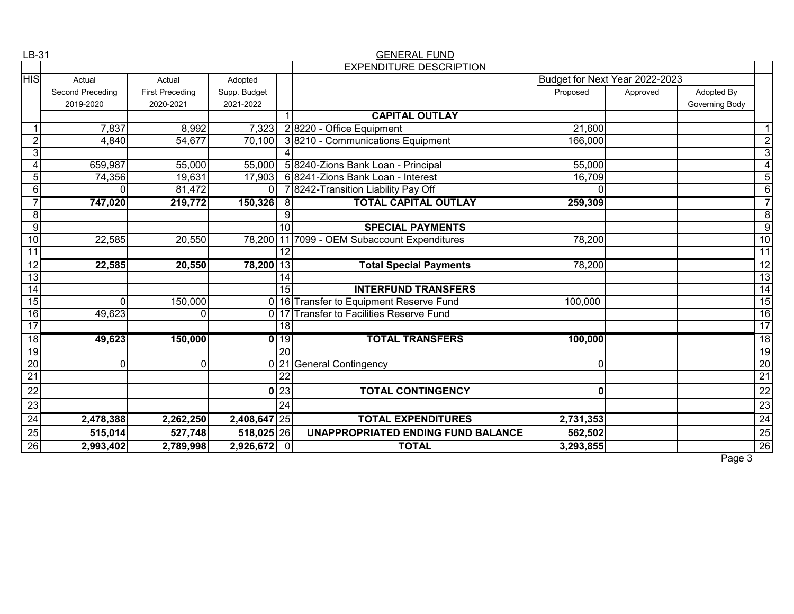| LB-31           |                         |                        |               |                 | <b>GENERAL FUND</b>                          |                                |          |                |                 |
|-----------------|-------------------------|------------------------|---------------|-----------------|----------------------------------------------|--------------------------------|----------|----------------|-----------------|
|                 |                         |                        |               |                 | <b>EXPENDITURE DESCRIPTION</b>               |                                |          |                |                 |
| <b>HIS</b>      | Actual                  | Actual                 | Adopted       |                 |                                              | Budget for Next Year 2022-2023 |          |                |                 |
|                 | <b>Second Preceding</b> | <b>First Preceding</b> | Supp. Budget  |                 |                                              | Proposed                       | Approved | Adopted By     |                 |
|                 | 2019-2020               | 2020-2021              | 2021-2022     |                 |                                              |                                |          | Governing Body |                 |
|                 |                         |                        |               |                 | <b>CAPITAL OUTLAY</b>                        |                                |          |                |                 |
|                 | 7,837                   | 8,992                  | 7,323         |                 | 28220 - Office Equipment                     | 21,600                         |          |                | $\mathbf 1$     |
| $\overline{2}$  | 4,840                   | 54,677                 | 70,100        |                 | 3 8210 - Communications Equipment            | 166,000                        |          |                | $\overline{2}$  |
| 3               |                         |                        |               |                 |                                              |                                |          |                | $\overline{3}$  |
|                 | 659,987                 | 55,000                 | 55,000        |                 | 5 8240-Zions Bank Loan - Principal           | 55,000                         |          |                | $\overline{4}$  |
| 5               | 74,356                  | 19,631                 | 17,903        |                 | 6 8241-Zions Bank Loan - Interest            | 16,709                         |          |                | $\overline{5}$  |
| 6               | $\Omega$                | 81,472                 | $\Omega$      |                 | 7 8242-Transition Liability Pay Off          | $\Omega$                       |          |                | $\overline{6}$  |
|                 | 747,020                 | 219,772                | $150,326$ 8   |                 | <b>TOTAL CAPITAL OUTLAY</b>                  | 259,309                        |          |                | $\overline{7}$  |
| 8               |                         |                        |               | ö               |                                              |                                |          |                | $\overline{8}$  |
| 9               |                         |                        |               | $\overline{10}$ | <b>SPECIAL PAYMENTS</b>                      |                                |          |                | $\overline{9}$  |
| 10              | 22,585                  | 20,550                 |               |                 | 78,200 11 7099 - OEM Subaccount Expenditures | 78,200                         |          |                | 10              |
| 11              |                         |                        |               | 12              |                                              |                                |          |                | 11              |
| $\overline{12}$ | 22,585                  | 20,550                 | 78,200 13     |                 | <b>Total Special Payments</b>                | 78,200                         |          |                | $\overline{12}$ |
| 13              |                         |                        |               | $\overline{14}$ |                                              |                                |          |                | $\overline{13}$ |
| 14              |                         |                        |               | 15              | <b>INTERFUND TRANSFERS</b>                   |                                |          |                | 14              |
| 15              | $\Omega$                | 150,000                |               |                 | 0 16 Transfer to Equipment Reserve Fund      | 100,000                        |          |                | 15              |
| $\overline{16}$ | 49,623                  | $\Omega$               |               |                 | 0 17 Transfer to Facilities Reserve Fund     |                                |          |                | 16              |
| 17              |                         |                        |               | $\overline{18}$ |                                              |                                |          |                | 17              |
| 18              | 49,623                  | 150,000                |               | $0$ 19          | <b>TOTAL TRANSFERS</b>                       | 100,000                        |          |                | 18              |
| 19              |                         |                        |               | $\overline{20}$ |                                              |                                |          |                | 19              |
| $\overline{20}$ | $\Omega$                | $\overline{0}$         | Οl            | 21              | <b>General Contingency</b>                   | $\Omega$                       |          |                | <b>20</b>       |
| $\overline{21}$ |                         |                        |               | $\overline{22}$ |                                              |                                |          |                | $\overline{21}$ |
| 22              |                         |                        | $\mathbf{0}$  | 23              | <b>TOTAL CONTINGENCY</b>                     | 0                              |          |                | 22              |
| 23              |                         |                        |               | 24              |                                              |                                |          |                | 23              |
| $\overline{24}$ | 2,478,388               | 2,262,250              | 2,408,647 25  |                 | <b>TOTAL EXPENDITURES</b>                    | 2,731,353                      |          |                | $\overline{24}$ |
| 25              | 515,014                 | 527,748                | 518,025 26    |                 | <b>UNAPPROPRIATED ENDING FUND BALANCE</b>    | 562,502                        |          |                | $\frac{25}{26}$ |
| $\overline{26}$ | 2,993,402               | 2,789,998              | $2,926,672$ 0 |                 | <b>TOTAL</b>                                 | 3,293,855                      |          |                |                 |

Page 3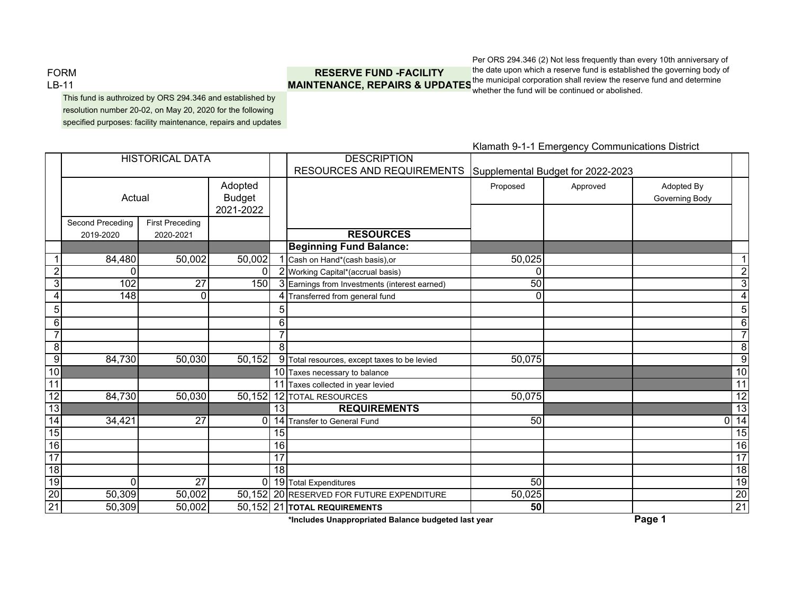FORMLB-11

# **RESERVE FUND -FACILITY**

**MAINTENANCE, REPAIRS & UPDATES** the municipal corporation shall review the reserve fund and determine Per ORS 294.346 (2) Not less frequently than every 10th anniversary of the date upon which a reserve fund is established the governing body of whether the fund will be continued or abolished.

This fund is authroized by ORS 294.346 and established by resolution number 20-02, on May 20, 2020 for the following specified purposes: facility maintenance, repairs and updates

**DESCRIPTION** RESOURCES AND REQUIREMENTS Supplemental Budget for 2022-2023 Adopted Proposed Adopted Approved Adopted By Budget Governing Body 2021-2022Second Preceding First Preceding 2019-2020 2020-2021 **RESOURCESBeginning Fund Balance:** 1 84,480 50,002 50,002 1 Cash on Hand\*(cash basis),or 50,025 1 2 0 0 0 0 2 2 Working Capital\*(accrual basis) 0 2 3 102 27 150 3 **Earnings from Investments (interest earned)** 50 3 4 148 0 14 4 Transferred from general fund 14 and 15 and 15 and 16 and 16 and 16 and 16 and 16 and 16 and 16 and 16 and 16 and 16 and 16 and 16 and 16 and 16 and 16 and 16 and 16 and 16 and 16 and 16 and 16 and 16 and 16 and 16 and 1 5 5 5 6 1 1 6 6 7 7 7 8 | | | | | | 8 8 9 84,730 50,030 50,152 9 Total resources, except taxes to be levied 50,075 10 10Taxes necessary to balance **10 and 10** and 10 and 10 and 10 and 10 and 10 and 10 and 10 and 10 and 10 and 10 and 10 and 10 and 10 and 10 and 10 and 10 and 10 and 10 and 10 and 10 and 10 and 10 and 10 and 10 and 10 and 10 a 11 11 11 11 11 Taxes collected in year levied 11 12 84,730 50,030 50,152 12 TOTAL RESOURCES 60,075 50,075 13 1313 **REQUIREMENTS 13** 14 34.421 27 0 14 Transfer to General Fund 50 50 15 155 | 15 16 16 16 17 17 17 18 1881 - 1880 - 1891 - 1892 - 1893 - 1894 - 1895 - 1896 - 1897 - 1898 - 1899 - 1899 - 1899 - 1899 - 189 19 0 27 0 19 Total Expenditures 50 19 20 50,309 50,002 50,152 20 RESERVED FOR FUTURE EXPENDITURE 50,025 50,025 50,309 50,002 50,002 50,152 21 TOTAL REQUIREMENTS 21 50,309 50,002 50,152 21 **TOTAL REQUIREMENTS 50** 21 HISTORICAL DATAActual

Klamath 9-1-1 Emergency Communications District

**\*Includes Unappropriated Balance budgeted last year Page 1**